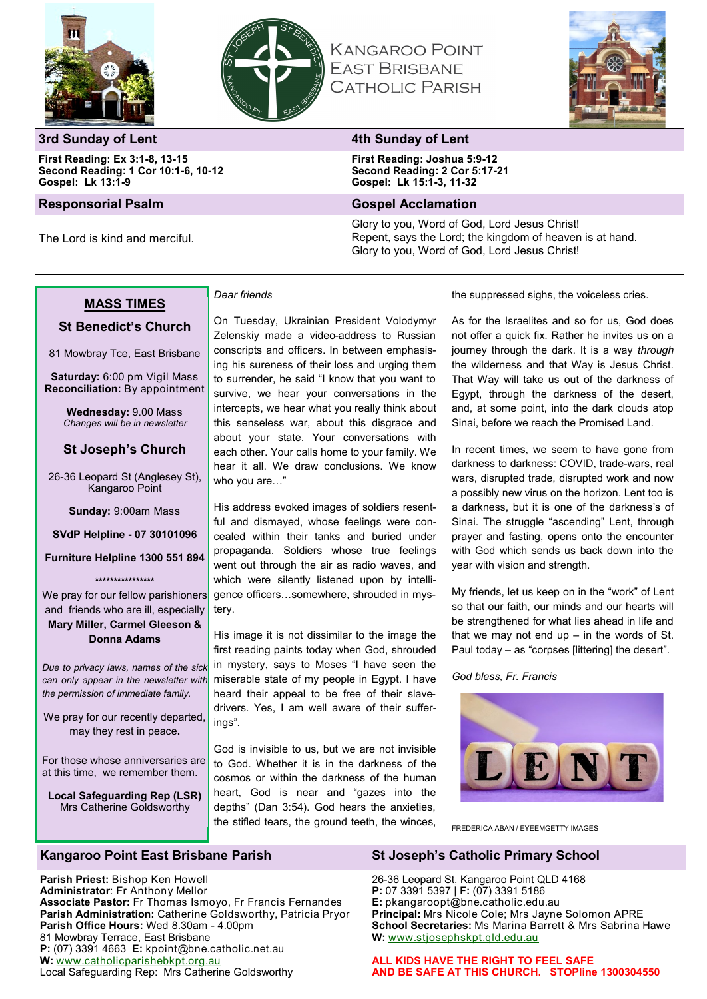



**KANGAROO POINT EAST BRISBANE CATHOLIC PARISH** 



# **3rd Sunday of Lent 4th Sunday of Lent**

**First Reading: Ex 3:1-8, 13-15 Second Reading: 1 Cor 10:1-6, 10-12 Gospel: Lk 13:1-9**

## **Responsorial Psalm Gospel Acclamation**

The Lord is kind and merciful.

**First Reading: Joshua 5:9-12 Second Reading: 2 Cor 5:17-21 Gospel: Lk 15:1-3, 11-32**

Glory to you, Word of God, Lord Jesus Christ! Repent, says the Lord; the kingdom of heaven is at hand. Glory to you, Word of God, Lord Jesus Christ!

# **MASS TIMES**

# **St Benedict's Church**

81 Mowbray Tce, East Brisbane

**Saturday:** 6:00 pm Vigil Mass **Reconciliation:** By appointment

> **Wednesday:** 9.00 Mass *Changes will be in newsletter*

## **St Joseph's Church**

26-36 Leopard St (Anglesey St), Kangaroo Point

**Sunday:** 9:00am Mass

**SVdP Helpline - 07 30101096** 

**Furniture Helpline 1300 551 894** 

**\*\*\*\*\*\*\*\*\*\*\*\*\*\*\*\***

We pray for our fellow parishioners and friends who are ill, especially **Mary Miller, Carmel Gleeson & Donna Adams**

*Due to privacy laws, names of the sick can only appear in the newsletter with the permission of immediate family.*

We pray for our recently departed, may they rest in peace**.**

For those whose anniversaries are at this time, we remember them.

**Local Safeguarding Rep (LSR)** Mrs Catherine Goldsworthy

# *Dear friends*

On Tuesday, Ukrainian President Volodymyr Zelenskiy made a video-address to Russian conscripts and officers. In between emphasising his sureness of their loss and urging them to surrender, he said "I know that you want to survive, we hear your conversations in the intercepts, we hear what you really think about this senseless war, about this disgrace and about your state. Your conversations with each other. Your calls home to your family. We hear it all. We draw conclusions. We know who you are…"

His address evoked images of soldiers resentful and dismayed, whose feelings were concealed within their tanks and buried under propaganda. Soldiers whose true feelings went out through the air as radio waves, and which were silently listened upon by intelligence officers…somewhere, shrouded in mystery.

His image it is not dissimilar to the image the first reading paints today when God, shrouded in mystery, says to Moses "I have seen the miserable state of my people in Egypt. I have heard their appeal to be free of their slavedrivers. Yes, I am well aware of their sufferings".

God is invisible to us, but we are not invisible to God. Whether it is in the darkness of the cosmos or within the darkness of the human heart, God is near and "gazes into the depths" (Dan 3:54). God hears the anxieties, the stifled tears, the ground teeth, the winces, the suppressed sighs, the voiceless cries.

As for the Israelites and so for us, God does not offer a quick fix. Rather he invites us on a journey through the dark. It is a way *through* the wilderness and that Way is Jesus Christ. That Way will take us out of the darkness of Egypt, through the darkness of the desert, and, at some point, into the dark clouds atop Sinai, before we reach the Promised Land.

In recent times, we seem to have gone from darkness to darkness: COVID, trade-wars, real wars, disrupted trade, disrupted work and now a possibly new virus on the horizon. Lent too is a darkness, but it is one of the darkness's of Sinai. The struggle "ascending" Lent, through prayer and fasting, opens onto the encounter with God which sends us back down into the year with vision and strength.

My friends, let us keep on in the "work" of Lent so that our faith, our minds and our hearts will be strengthened for what lies ahead in life and that we may not end up  $-$  in the words of St. Paul today – as "corpses [littering] the desert".

### *God bless, Fr. Francis*



FREDERICA ABAN / EYEEMGETTY IMAGES

## **Kangaroo Point East Brisbane Parish St Joseph's Catholic Primary School**

**Parish Priest:** Bishop Ken Howell **Administrator**: Fr Anthony Mellor **Associate Pastor:** Fr Thomas Ismoyo, Fr Francis Fernandes **Parish Administration:** Catherine Goldsworthy, Patricia Pryor **Parish Office Hours:** Wed 8.30am - 4.00pm 81 Mowbray Terrace, East Brisbane **P:** (07) 3391 4663 **E:** kpoint@bne.catholic.net.au **W:** [www.catholicparishebkpt.org.au](http://www.catholicparishebkpt.org.au) Local Safeguarding Rep: Mrs Catherine Goldsworthy

26-36 Leopard St, Kangaroo Point QLD 4168 **P:** 07 3391 5397 | **F:** (07) 3391 5186 **E:** pkangaroopt@bne.catholic.edu.au **Principal:** Mrs Nicole Cole; Mrs Jayne Solomon APRE **School Secretaries:** Ms Marina Barrett & Mrs Sabrina Hawe **W:** [www.stjosephskpt.qld.edu.au](http://www.stjosephskpt.qld.edu.au)

**ALL KIDS HAVE THE RIGHT TO FEEL SAFE AND BE SAFE AT THIS CHURCH. STOPline 1300304550**